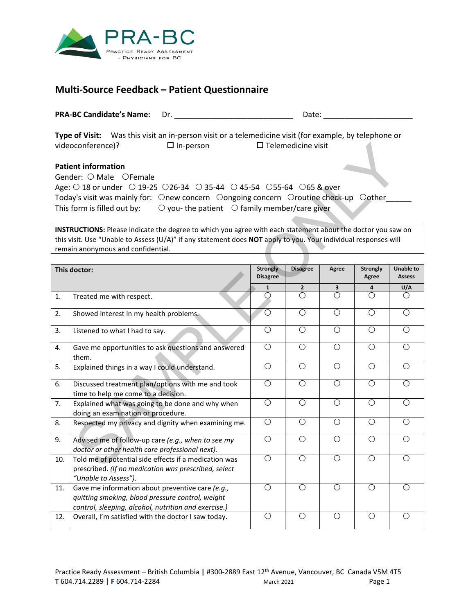

## **Multi-Source Feedback – Patient Questionnaire**

| <b>PRA-BC Candidate's Name:</b>                                                            |                  | Date:                                                                                                                               |  |
|--------------------------------------------------------------------------------------------|------------------|-------------------------------------------------------------------------------------------------------------------------------------|--|
| videoconference)?                                                                          | $\Box$ In-person | Type of Visit: Was this visit an in-person visit or a telemedicine visit (for example, by telephone or<br>$\Box$ Telemedicine visit |  |
| <b>Patient information</b><br>Gender: $\bigcirc$ Male $\bigcirc$ Female                    |                  |                                                                                                                                     |  |
| Age: 0 18 or under 0 19-25 0 26-34 0 35-44 0 45-54 0 55-64 0 65 & over                     |                  |                                                                                                                                     |  |
|                                                                                            |                  | Today's visit was mainly for: Onew concern Oongoing concern Oroutine check-up Oother                                                |  |
| This form is filled out by: $\bigcirc$ you-the patient $\bigcirc$ family member/care given |                  |                                                                                                                                     |  |
|                                                                                            |                  |                                                                                                                                     |  |

|                                                                                                                                                                                                                                                                      | videoconference)?<br>$\Box$ In-person                                        | $\Box$ Telemedicine visit          |                 |                |                          |                                   |  |  |  |
|----------------------------------------------------------------------------------------------------------------------------------------------------------------------------------------------------------------------------------------------------------------------|------------------------------------------------------------------------------|------------------------------------|-----------------|----------------|--------------------------|-----------------------------------|--|--|--|
| <b>Patient information</b><br>Gender: O Male OFemale<br>Age: $\bigcirc$ 18 or under $\bigcirc$ 19-25 $\bigcirc$ 26-34 $\bigcirc$ 35-44 $\bigcirc$ 45-54 $\bigcirc$ 55-64 $\bigcirc$ 65 & over                                                                        |                                                                              |                                    |                 |                |                          |                                   |  |  |  |
| Today's visit was mainly for: Onew concern Oongoing concern Oroutine check-up Oother                                                                                                                                                                                 |                                                                              |                                    |                 |                |                          |                                   |  |  |  |
| $\bigcirc$ you-the patient $\bigcirc$ family member/care giver<br>This form is filled out by:                                                                                                                                                                        |                                                                              |                                    |                 |                |                          |                                   |  |  |  |
|                                                                                                                                                                                                                                                                      |                                                                              |                                    |                 |                |                          |                                   |  |  |  |
| INSTRUCTIONS: Please indicate the degree to which you agree with each statement about the doctor you saw on<br>this visit. Use "Unable to Assess (U/A)" if any statement does NOT apply to you. Your individual responses will<br>remain anonymous and confidential. |                                                                              |                                    |                 |                |                          |                                   |  |  |  |
|                                                                                                                                                                                                                                                                      |                                                                              |                                    |                 |                |                          |                                   |  |  |  |
|                                                                                                                                                                                                                                                                      | This doctor:                                                                 | <b>Strongly</b><br><b>Disagree</b> | <b>Disagree</b> | Agree          | <b>Strongly</b><br>Agree | <b>Unable to</b><br><b>Assess</b> |  |  |  |
|                                                                                                                                                                                                                                                                      |                                                                              | $\mathbf{1}$                       | $\overline{2}$  | 3              | 4                        | U/A                               |  |  |  |
| 1.                                                                                                                                                                                                                                                                   | Treated me with respect.                                                     | $\bigcirc$                         | $\overline{O}$  | $\overline{O}$ | $\overline{O}$           | $\bigcirc$                        |  |  |  |
| 2.                                                                                                                                                                                                                                                                   | Showed interest in my health problems.                                       | O                                  | O               | $\overline{O}$ | $\bigcirc$               | $\overline{O}$                    |  |  |  |
|                                                                                                                                                                                                                                                                      |                                                                              |                                    |                 |                |                          |                                   |  |  |  |
| 3.                                                                                                                                                                                                                                                                   | Listened to what I had to say.                                               | $\bigcirc$                         | $\bigcirc$      | $\overline{O}$ | $\bigcirc$               | $\overline{O}$                    |  |  |  |
| 4.                                                                                                                                                                                                                                                                   | Gave me opportunities to ask questions and answered                          | $\overline{O}$                     | $\bigcirc$      | $\overline{O}$ | $\overline{O}$           | $\overline{O}$                    |  |  |  |
|                                                                                                                                                                                                                                                                      | them.                                                                        |                                    |                 |                |                          |                                   |  |  |  |
| 5.                                                                                                                                                                                                                                                                   | Explained things in a way I could understand.                                | $\overline{O}$                     | $\bigcirc$      | $\overline{O}$ | $\bigcirc$               | $\overline{O}$                    |  |  |  |
| 6.                                                                                                                                                                                                                                                                   | Discussed treatment plan/options with me and took                            | $\overline{O}$                     | $\overline{O}$  | $\overline{O}$ | $\overline{O}$           | $\overline{O}$                    |  |  |  |
|                                                                                                                                                                                                                                                                      | time to help me come to a decision.                                          |                                    |                 |                |                          |                                   |  |  |  |
| 7.                                                                                                                                                                                                                                                                   | Explained what was going to be done and why when                             | $\overline{O}$                     | $\overline{O}$  | $\overline{O}$ | $\overline{O}$           | $\overline{O}$                    |  |  |  |
|                                                                                                                                                                                                                                                                      | doing an examination or procedure.                                           |                                    |                 |                |                          |                                   |  |  |  |
| 8.                                                                                                                                                                                                                                                                   | Respected my privacy and dignity when examining me.                          | $\overline{O}$                     | $\bigcirc$      | $\overline{O}$ | $\bigcirc$               | $\overline{O}$                    |  |  |  |
| 9.                                                                                                                                                                                                                                                                   | Advised me of follow-up care (e.g., when to see my                           | $\overline{O}$                     | $\bigcirc$      | $\bigcirc$     | $\bigcirc$               | $\bigcirc$                        |  |  |  |
|                                                                                                                                                                                                                                                                      | doctor or other health care professional next).                              |                                    |                 |                |                          |                                   |  |  |  |
| 10.                                                                                                                                                                                                                                                                  | Told me of potential side effects if a medication was                        | $\overline{\bigcirc}$              | $\bigcirc$      | $\overline{O}$ | $\overline{O}$           | $\overline{O}$                    |  |  |  |
|                                                                                                                                                                                                                                                                      | prescribed. (If no medication was prescribed, select<br>"Unable to Assess"). |                                    |                 |                |                          |                                   |  |  |  |
| 11.                                                                                                                                                                                                                                                                  | Gave me information about preventive care (e.g.,                             | $\bigcirc$                         | $\bigcirc$      | $\overline{O}$ | $\bigcirc$               | $\bigcirc$                        |  |  |  |
|                                                                                                                                                                                                                                                                      | quitting smoking, blood pressure control, weight                             |                                    |                 |                |                          |                                   |  |  |  |
|                                                                                                                                                                                                                                                                      | control, sleeping, alcohol, nutrition and exercise.)                         |                                    |                 |                |                          |                                   |  |  |  |
| 12.                                                                                                                                                                                                                                                                  | Overall, I'm satisfied with the doctor I saw today.                          | $\bigcirc$                         | $\bigcirc$      | $\bigcirc$     | $\bigcirc$               | $\bigcirc$                        |  |  |  |
|                                                                                                                                                                                                                                                                      |                                                                              |                                    |                 |                |                          |                                   |  |  |  |